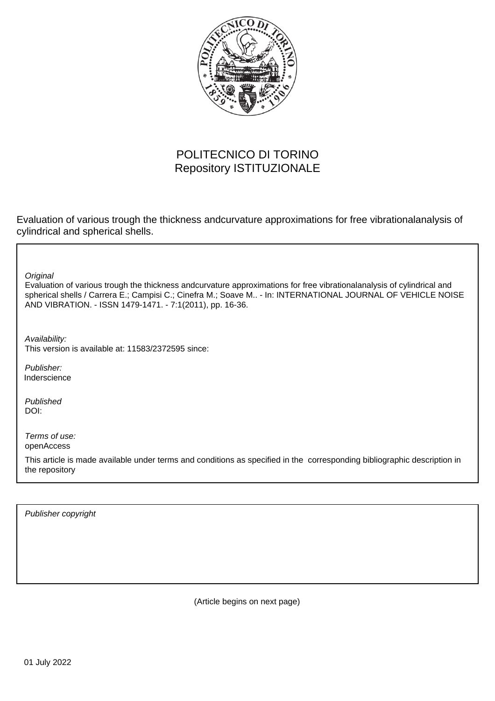

# POLITECNICO DI TORINO Repository ISTITUZIONALE

Evaluation of various trough the thickness andcurvature approximations for free vibrationalanalysis of cylindrical and spherical shells.

**Original** 

Evaluation of various trough the thickness andcurvature approximations for free vibrationalanalysis of cylindrical and spherical shells / Carrera E.; Campisi C.; Cinefra M.; Soave M.. - In: INTERNATIONAL JOURNAL OF VEHICLE NOISE AND VIBRATION. - ISSN 1479-1471. - 7:1(2011), pp. 16-36.

Availability: This version is available at: 11583/2372595 since:

Publisher: Inderscience

Published DOI:

Terms of use: openAccess

This article is made available under terms and conditions as specified in the corresponding bibliographic description in the repository

Publisher copyright

(Article begins on next page)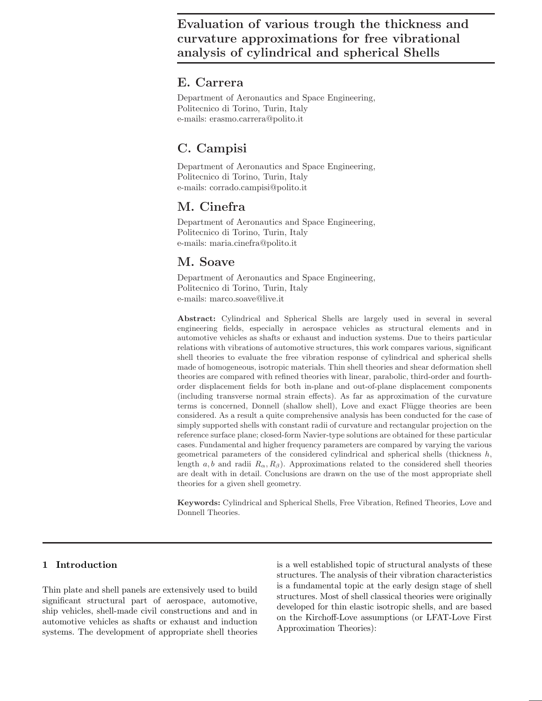## E. Carrera\*

Department of Aeronautics and Space Engineering, Politecnico di Torino, Turin, Italy e-mails: erasmo.carrera@polito.it

## C. Campisi

Department of Aeronautics and Space Engineering, Politecnico di Torino, Turin, Italy e-mails: corrado.campisi@polito.it

## M. Cinefra

Department of Aeronautics and Space Engineering, Politecnico di Torino, Turin, Italy e-mails: maria.cinefra@polito.it

## M. Soave

Department of Aeronautics and Space Engineering, Politecnico di Torino, Turin, Italy e-mails: marco.soave@live.it

Abstract: Cylindrical and Spherical Shells are largely used in several in several engineering fields, especially in aerospace vehicles as structural elements and in automotive vehicles as shafts or exhaust and induction systems. Due to theirs particular relations with vibrations of automotive structures, this work compares various, significant shell theories to evaluate the free vibration response of cylindrical and spherical shells made of homogeneous, isotropic materials. Thin shell theories and shear deformation shell theories are compared with refined theories with linear, parabolic, third-order and fourthorder displacement fields for both in-plane and out-of-plane displacement components (including transverse normal strain effects). As far as approximation of the curvature terms is concerned, Donnell (shallow shell), Love and exact Flügge theories are been considered. As a result a quite comprehensive analysis has been conducted for the case of simply supported shells with constant radii of curvature and rectangular projection on the reference surface plane; closed-form Navier-type solutions are obtained for these particular cases. Fundamental and higher frequency parameters are compared by varying the various geometrical parameters of the considered cylindrical and spherical shells (thickness  $h$ , length a, b and radii  $R_{\alpha}$ ,  $R_{\beta}$ ). Approximations related to the considered shell theories are dealt with in detail. Conclusions are drawn on the use of the most appropriate shell theories for a given shell geometry.

Keywords: Cylindrical and Spherical Shells, Free Vibration, Refined Theories, Love and Donnell Theories.

## 1 Introduction

Thin plate and shell panels are extensively used to build significant structural part of aerospace, automotive, ship vehicles, shell-made civil constructions and and in automotive vehicles as shafts or exhaust and induction systems. The development of appropriate shell theories is a well established topic of structural analysts of these structures. The analysis of their vibration characteristics is a fundamental topic at the early design stage of shell structures. Most of shell classical theories were originally developed for thin elastic isotropic shells, and are based on the Kirchoff-Love assumptions (or LFAT-Love First Approximation Theories):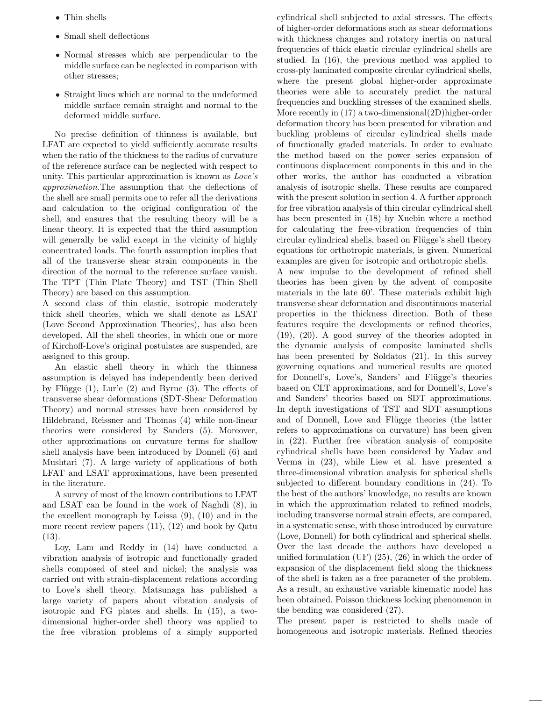- Thin shells
- Small shell deflections
- Normal stresses which are perpendicular to the middle surface can be neglected in comparison with other stresses;
- Straight lines which are normal to the undeformed middle surface remain straight and normal to the deformed middle surface.

No precise definition of thinness is available, but LFAT are expected to yield sufficiently accurate results when the ratio of the thickness to the radius of curvature of the reference surface can be neglected with respect to unity. This particular approximation is known as Love's approximation.The assumption that the deflections of the shell are small permits one to refer all the derivations and calculation to the original configuration of the shell, and ensures that the resulting theory will be a linear theory. It is expected that the third assumption will generally be valid except in the vicinity of highly concentrated loads. The fourth assumption implies that all of the transverse shear strain components in the direction of the normal to the reference surface vanish. The TPT (Thin Plate Theory) and TST (Thin Shell Theory) are based on this assumption.

A second class of thin elastic, isotropic moderately thick shell theories, which we shall denote as LSAT (Love Second Approximation Theories), has also been developed. All the shell theories, in which one or more of Kirchoff-Love's original postulates are suspended, are assigned to this group.

An elastic shell theory in which the thinness assumption is delayed has independently been derived by Flügge  $(1)$ , Lur'e  $(2)$  and Byrne  $(3)$ . The effects of transverse shear deformations (SDT-Shear Deformation Theory) and normal stresses have been considered by Hildebrand, Reissner and Thomas (4) while non-linear theories were considered by Sanders (5). Moreover, other approximations on curvature terms for shallow shell analysis have been introduced by Donnell (6) and Mushtari (7). A large variety of applications of both LFAT and LSAT approximations, have been presented in the literature.

A survey of most of the known contributions to LFAT and LSAT can be found in the work of Naghdi (8), in the excellent monograph by Leissa (9), (10) and in the more recent review papers (11), (12) and book by Qatu (13).

Loy, Lam and Reddy in (14) have conducted a vibration analysis of isotropic and functionally graded shells composed of steel and nickel; the analysis was carried out with strain-displacement relations according to Love's shell theory. Matsunaga has published a large variety of papers about vibration analysis of isotropic and FG plates and shells. In (15), a twodimensional higher-order shell theory was applied to the free vibration problems of a simply supported cylindrical shell subjected to axial stresses. The effects of higher-order deformations such as shear deformations with thickness changes and rotatory inertia on natural frequencies of thick elastic circular cylindrical shells are studied. In (16), the previous method was applied to cross-ply laminated composite circular cylindrical shells, where the present global higher-order approximate theories were able to accurately predict the natural frequencies and buckling stresses of the examined shells. More recently in (17) a two-dimensional(2D)higher-order deformation theory has been presented for vibration and buckling problems of circular cylindrical shells made of functionally graded materials. In order to evaluate the method based on the power series expansion of continuous displacement components in this and in the other works, the author has conducted a vibration analysis of isotropic shells. These results are compared with the present solution in section 4. A further approach for free vibration analysis of thin circular cylindrical shell has been presented in (18) by Xuebin where a method for calculating the free-vibration frequencies of thin circular cylindrical shells, based on Flügge's shell theory equations for orthotropic materials, is given. Numerical examples are given for isotropic and orthotropic shells. A new impulse to the development of refined shell theories has been given by the advent of composite materials in the late 60'. These materials exhibit high transverse shear deformation and discontinuous material properties in the thickness direction. Both of these features require the developments or refined theories, (19), (20). A good survey of the theories adopted in the dynamic analysis of composite laminated shells has been presented by Soldatos (21). In this survey governing equations and numerical results are quoted for Donnell's, Love's, Sanders' and Flügge's theories based on CLT approximations, and for Donnell's, Love's and Sanders' theories based on SDT approximations. In depth investigations of TST and SDT assumptions and of Donnell, Love and Flügge theories (the latter refers to approximations on curvature) has been given in (22). Further free vibration analysis of composite cylindrical shells have been considered by Yadav and Verma in (23), while Liew et al. have presented a three-dimensional vibration analysis for spherical shells subjected to different boundary conditions in (24). To the best of the authors' knowledge, no results are known in which the approximation related to refined models, including transverse normal strain effects, are compared, in a systematic sense, with those introduced by curvature (Love, Donnell) for both cylindrical and spherical shells. Over the last decade the authors have developed a unified formulation (UF) (25), (26) in which the order of expansion of the displacement field along the thickness of the shell is taken as a free parameter of the problem. As a result, an exhaustive variable kinematic model has been obtained. Poisson thickness locking phenomenon in the bending was considered (27).

The present paper is restricted to shells made of homogeneous and isotropic materials. Refined theories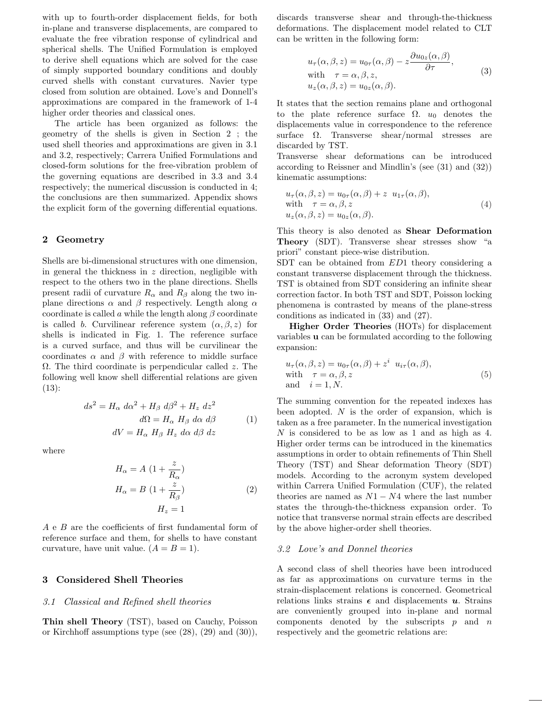with up to fourth-order displacement fields, for both in-plane and transverse displacements, are compared to evaluate the free vibration response of cylindrical and spherical shells. The Unified Formulation is employed to derive shell equations which are solved for the case of simply supported boundary conditions and doubly curved shells with constant curvatures. Navier type closed from solution are obtained. Love's and Donnell's approximations are compared in the framework of 1-4 higher order theories and classical ones.

The article has been organized as follows: the geometry of the shells is given in Section 2 ; the used shell theories and approximations are given in 3.1 and 3.2, respectively; Carrera Unified Formulations and closed-form solutions for the free-vibration problem of the governing equations are described in 3.3 and 3.4 respectively; the numerical discussion is conducted in 4; the conclusions are then summarized. Appendix shows the explicit form of the governing differential equations.

#### 2 Geometry

Shells are bi-dimensional structures with one dimension, in general the thickness in  $z$  direction, negligible with respect to the others two in the plane directions. Shells present radii of curvature  $R_{\alpha}$  and  $R_{\beta}$  along the two inplane directions  $\alpha$  and  $\beta$  respectively. Length along  $\alpha$ coordinate is called a while the length along  $\beta$  coordinate is called b. Curvilinear reference system  $(\alpha, \beta, z)$  for shells is indicated in Fig. 1. The reference surface is a curved surface, and thus will be curvilinear the coordinates  $\alpha$  and  $\beta$  with reference to middle surface  $\Omega$ . The third coordinate is perpendicular called z. The following well know shell differential relations are given (13):

$$
ds^{2} = H_{\alpha} d\alpha^{2} + H_{\beta} d\beta^{2} + H_{z} dz^{2}
$$
  
\n
$$
d\Omega = H_{\alpha} H_{\beta} d\alpha d\beta
$$
 (1)  
\n
$$
dV = H_{\alpha} H_{\beta} H_{z} d\alpha d\beta dz
$$

where

$$
H_{\alpha} = A \left( 1 + \frac{z}{R_{\alpha}} \right)
$$
  
\n
$$
H_{\alpha} = B \left( 1 + \frac{z}{R_{\beta}} \right)
$$
  
\n
$$
H_{z} = 1
$$
\n(2)

A e B are the coefficients of first fundamental form of reference surface and them, for shells to have constant curvature, have unit value.  $(A = B = 1)$ .

### 3 Considered Shell Theories

#### 3.1 Classical and Refined shell theories

Thin shell Theory (TST), based on Cauchy, Poisson or Kirchhoff assumptions type (see  $(28)$ ,  $(29)$  and  $(30)$ ), discards transverse shear and through-the-thickness deformations. The displacement model related to CLT can be written in the following form:

$$
u_{\tau}(\alpha, \beta, z) = u_{0\tau}(\alpha, \beta) - z \frac{\partial u_{0z}(\alpha, \beta)}{\partial \tau},
$$
  
with  $\tau = \alpha, \beta, z,$   

$$
u_{z}(\alpha, \beta, z) = u_{0z}(\alpha, \beta).
$$
 (3)

It states that the section remains plane and orthogonal to the plate reference surface  $\Omega$ .  $u_0$  denotes the displacements value in correspondence to the reference surface Ω. Transverse shear/normal stresses are discarded by TST.

Transverse shear deformations can be introduced according to Reissner and Mindlin's (see (31) and (32)) kinematic assumptions:

$$
u_{\tau}(\alpha, \beta, z) = u_{0\tau}(\alpha, \beta) + z \ u_{1\tau}(\alpha, \beta),
$$
  
with  $\tau = \alpha, \beta, z$   

$$
u_{z}(\alpha, \beta, z) = u_{0z}(\alpha, \beta).
$$
 (4)

This theory is also denoted as Shear Deformation Theory (SDT). Transverse shear stresses show "a priori" constant piece-wise distribution.

SDT can be obtained from ED1 theory considering a constant transverse displacement through the thickness. TST is obtained from SDT considering an infinite shear correction factor. In both TST and SDT, Poisson locking phenomena is contrasted by means of the plane-stress conditions as indicated in (33) and (27).

Higher Order Theories (HOTs) for displacement variables u can be formulated according to the following expansion:

$$
u_{\tau}(\alpha, \beta, z) = u_{0\tau}(\alpha, \beta) + z^{i} u_{i\tau}(\alpha, \beta),
$$
  
with  $\tau = \alpha, \beta, z$   
and  $i = 1, N.$  (5)

The summing convention for the repeated indexes has been adopted.  $N$  is the order of expansion, which is taken as a free parameter. In the numerical investigation N is considered to be as low as 1 and as high as 4. Higher order terms can be introduced in the kinematics assumptions in order to obtain refinements of Thin Shell Theory (TST) and Shear deformation Theory (SDT) models. According to the acronym system developed within Carrera Unified Formulation (CUF), the related theories are named as  $N1 - N4$  where the last number states the through-the-thickness expansion order. To notice that transverse normal strain effects are described by the above higher-order shell theories.

#### 3.2 Love's and Donnel theories

A second class of shell theories have been introduced as far as approximations on curvature terms in the strain-displacement relations is concerned. Geometrical relations links strains  $\epsilon$  and displacements u. Strains are conveniently grouped into in-plane and normal components denoted by the subscripts  $p$  and  $n$ respectively and the geometric relations are: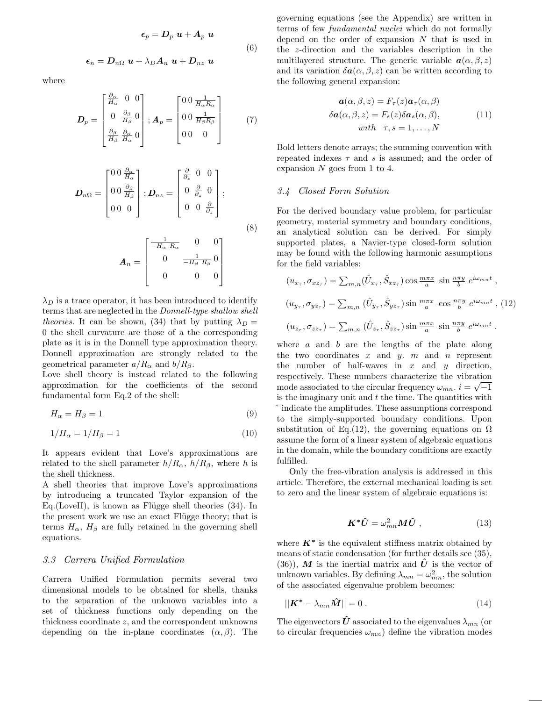$$
\epsilon_p = D_p \ u + A_p \ u
$$

$$
\epsilon_n = D_{n\Omega} \ u + \lambda_D A_n \ u + D_{nz} \ u
$$

$$
(6)
$$

where

$$
\boldsymbol{D}_{p} = \begin{bmatrix} \frac{\partial_{\alpha}}{H_{\alpha}} & 0 & 0\\ 0 & \frac{\partial_{\beta}}{H_{\beta}} & 0\\ \frac{\partial_{\beta}}{H_{\beta}} & \frac{\partial_{\alpha}}{H_{\alpha}} & 0 \end{bmatrix}; \boldsymbol{A}_{p} = \begin{bmatrix} 0 & 0 & \frac{1}{H_{\alpha}R_{\alpha}}\\ 0 & 0 & \frac{1}{H_{\beta}R_{\beta}}\\ 0 & 0 & 0 \end{bmatrix}
$$
(7)

$$
\boldsymbol{D}_{n\Omega} = \begin{bmatrix} 0 & \frac{\partial_{\alpha}}{H_{\alpha}} \\ 0 & \frac{\partial_{\beta}}{H_{\beta}} \\ 0 & 0 \end{bmatrix}; \boldsymbol{D}_{nz} = \begin{bmatrix} \frac{\partial}{\partial z} & 0 & 0 \\ 0 & \frac{\partial}{\partial z} & 0 \\ 0 & 0 & \frac{\partial}{\partial z} \end{bmatrix}; \tag{8}
$$

$$
\bm{A}_n = \begin{bmatrix} \frac{1}{-H_\alpha \ R_\alpha} & 0 & 0 \\ 0 & \frac{1}{-H_\beta \ R_\beta} & 0 \\ 0 & 0 & 0 \end{bmatrix}
$$

 $\lambda_D$  is a trace operator, it has been introduced to identify terms that are neglected in the Donnell-type shallow shell theories. It can be shown, (34) that by putting  $\lambda_D =$ 0 the shell curvature are those of a the corresponding plate as it is in the Donnell type approximation theory. Donnell approximation are strongly related to the geometrical parameter  $a/R_{\alpha}$  and  $b/R_{\beta}$ .

Love shell theory is instead related to the following approximation for the coefficients of the second fundamental form Eq.2 of the shell:

$$
H_{\alpha} = H_{\beta} = 1\tag{9}
$$

$$
1/H_{\alpha} = 1/H_{\beta} = 1\tag{10}
$$

It appears evident that Love's approximations are related to the shell parameter  $h/R_{\alpha}$ ,  $h/R_{\beta}$ , where h is the shell thickness.

A shell theories that improve Love's approximations by introducing a truncated Taylor expansion of the Eq. (LoveII), is known as Flügge shell theories  $(34)$ . In the present work we use an exact Flügge theory; that is terms  $H_{\alpha}$ ,  $H_{\beta}$  are fully retained in the governing shell equations.

#### 3.3 Carrera Unified Formulation

Carrera Unified Formulation permits several two dimensional models to be obtained for shells, thanks to the separation of the unknown variables into a set of thickness functions only depending on the thickness coordinate z, and the correspondent unknowns depending on the in-plane coordinates  $(\alpha, \beta)$ . The governing equations (see the Appendix) are written in terms of few fundamental nuclei which do not formally depend on the order of expansion  $N$  that is used in the z-direction and the variables description in the multilayered structure. The generic variable  $a(\alpha, \beta, z)$ and its variation  $\delta \mathbf{a}(\alpha, \beta, z)$  can be written according to the following general expansion:

$$
\mathbf{a}(\alpha, \beta, z) = F_{\tau}(z)\mathbf{a}_{\tau}(\alpha, \beta)
$$
  
\n
$$
\delta \mathbf{a}(\alpha, \beta, z) = F_s(z)\delta \mathbf{a}_s(\alpha, \beta),
$$
  
\nwith  $\tau, s = 1, ..., N$  (11)

Bold letters denote arrays; the summing convention with repeated indexes  $\tau$  and s is assumed; and the order of expansion  $N$  goes from 1 to 4.

#### 3.4 Closed Form Solution

For the derived boundary value problem, for particular geometry, material symmetry and boundary conditions, an analytical solution can be derived. For simply supported plates, a Navier-type closed-form solution may be found with the following harmonic assumptions for the field variables:

$$
(u_{x_{\tau}}, \sigma_{xz_{\tau}}) = \sum_{m,n} (\hat{U}_{x_{\tau}}, \hat{S}_{xz_{\tau}}) \cos \frac{m\pi x}{a} \sin \frac{n\pi y}{b} e^{i\omega_{mn}t} ,
$$
  

$$
(u_{y_{\tau}}, \sigma_{yz_{\tau}}) = \sum_{m,n} (\hat{U}_{y_{\tau}}, \hat{S}_{yz_{\tau}}) \sin \frac{m\pi x}{a} \cos \frac{n\pi y}{b} e^{i\omega_{mn}t} ,
$$
(12)  

$$
(u_{z_{\tau}}, \sigma_{zz_{\tau}}) = \sum_{m,n} (\hat{U}_{z_{\tau}}, \hat{S}_{zz_{\tau}}) \sin \frac{m\pi x}{a} \sin \frac{n\pi y}{b} e^{i\omega_{mn}t} .
$$

where  $a$  and  $b$  are the lengths of the plate along the two coordinates  $x$  and  $y$ .  $m$  and  $n$  represent the number of half-waves in  $x$  and  $y$  direction, respectively. These numbers characterize the vibration √ mode associated to the circular frequency  $\omega_{mn}$ .  $i = \sqrt{-1}$ is the imaginary unit and  $t$  the time. The quantities with ˆ indicate the amplitudes. These assumptions correspond to the simply-supported boundary conditions. Upon substitution of Eq.(12), the governing equations on  $\Omega$ assume the form of a linear system of algebraic equations in the domain, while the boundary conditions are exactly fulfilled.

Only the free-vibration analysis is addressed in this article. Therefore, the external mechanical loading is set to zero and the linear system of algebraic equations is:

$$
\boldsymbol{K}^* \hat{\boldsymbol{U}} = \omega_{mn}^2 \boldsymbol{M} \hat{\boldsymbol{U}} \;, \tag{13}
$$

where  $K^*$  is the equivalent stiffness matrix obtained by means of static condensation (for further details see (35), (36)), M is the inertial matrix and  $\hat{U}$  is the vector of unknown variables. By defining  $\lambda_{mn} = \omega_{mn}^2$ , the solution of the associated eigenvalue problem becomes:

$$
||\mathbf{K}^* - \lambda_{mn}\hat{\mathbf{M}}|| = 0.
$$
\n(14)

The eigenvectors  $\hat{U}$  associated to the eigenvalues  $\lambda_{mn}$  (or to circular frequencies  $\omega_{mn}$ ) define the vibration modes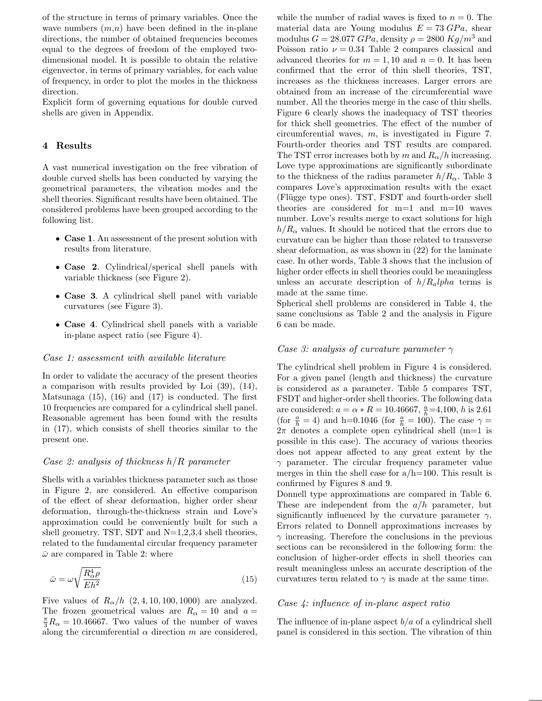of the structure in terms of primary variables. Once the wave numbers  $(m,n)$  have been defined in the in-plane directions, the number of obtained frequencies becomes equal to the degrees of freedom of the employed twodimensional model. It is possible to obtain the relative eigenvector, in terms of primary variables, for each value of frequency, in order to plot the modes in the thickness direction.

Explicit form of governing equations for double curved shells are given in Appendix.

## 4 Results

A vast numerical investigation on the free vibration of double curved shells has been conducted by varying the geometrical parameters, the vibration modes and the shell theories. Significant results have been obtained. The considered problems have been grouped according to the following list.

- Case 1. An assessment of the present solution with results from literature.
- Case 2. Cylindrical/sperical shell panels with variable thickness (see Figure 2).
- Case 3. A cylindrical shell panel with variable curvatures (see Figure 3).
- Case 4. Cylindrical shell panels with a variable in-plane aspect ratio (see Figure 4).

#### Case 1: assessment with available literature

In order to validate the accuracy of the present theories a comparison with results provided by Loi (39), (14), Matsunaga (15), (16) and (17) is conducted. The first 10 frequencies are compared for a cylindrical shell panel. Reasonable agrement has been found with the results in (17), which consists of shell theories similar to the present one.

#### Case 2: analysis of thickness  $h/R$  parameter

Shells with a variables thickness parameter such as those in Figure 2, are considered. An effective comparison of the effect of shear deformation, higher order shear deformation, through-the-thickness strain and Love's approximation could be conveniently built for such a shell geometry. TST, SDT and  $N=1,2,3,4$  shell theories, related to the fundamental circular frequency parameter  $\bar{\omega}$  are compared in Table 2: where

$$
\bar{\omega} = \omega \sqrt{\frac{R_{\alpha}^4 \rho}{E h^2}} \tag{15}
$$

Five values of  $R_{\alpha}/h$  (2, 4, 10, 100, 1000) are analyzed. The frozen geometrical values are  $R_{\alpha} = 10$  and  $a =$  $\frac{\pi}{3}R_{\alpha} = 10.46667$ . Two values of the number of waves along the circumferential  $\alpha$  direction m are considered, while the number of radial waves is fixed to  $n = 0$ . The material data are Young modulus  $E = 73 \text{ GPa}$ , shear modulus  $G = 28.077 \; GPa$ , density  $\rho = 2800 \; Kg/m^3$  and Poisson ratio  $\nu = 0.34$  Table 2 compares classical and advanced theories for  $m = 1, 10$  and  $n = 0$ . It has been confirmed that the error of thin shell theories, TST, increases as the thickness increases. Larger errors are obtained from an increase of the circumferential wave number. All the theories merge in the case of thin shells. Figure 6 clearly shows the inadequacy of TST theories for thick shell geometries. The effect of the number of circumferential waves, m, is investigated in Figure 7. Fourth-order theories and TST results are compared. The TST error increases both by m and  $R_{\alpha}/h$  increasing. Love type approximations are significantly subordinate to the thickness of the radius parameter  $h/R_{\alpha}$ . Table 3 compares Love's approximation results with the exact (Fl¨ugge type ones). TST, FSDT and fourth-order shell theories are considered for m=1 and m=10 waves number. Love's results merge to exact solutions for high  $h/R_{\alpha}$  values. It should be noticed that the errors due to curvature can be higher than those related to transverse shear deformation, as was shown in (22) for the laminate case. In other words, Table 3 shows that the inclusion of higher order effects in shell theories could be meaningless unless an accurate description of  $h/R_a lpha$  terms is made at the same time.

Spherical shell problems are considered in Table 4, the same conclusions as Table 2 and the analysis in Figure 6 can be made.

#### Case 3: analysis of curvature parameter  $\gamma$

The cylindrical shell problem in Figure 4 is considered. For a given panel (length and thickness) the curvature is considered as a parameter. Table 5 compares TST, FSDT and higher-order shell theories. The following data are considered:  $a = \alpha * R = 10.46667$ ,  $\frac{a}{h} = 4,100$ , h is 2.61 (for  $\frac{a}{h} = 4$ ) and h=0.1046 (for  $\frac{a}{h} = 100$ ). The case  $\gamma =$  $2\pi$  denotes a complete open cylindrical shell (m=1 is possible in this case). The accuracy of various theories does not appear affected to any great extent by the  $\gamma$  parameter. The circular frequency parameter value merges in thin the shell case for  $a/h=100$ . This result is confirmed by Figures 8 and 9.

Donnell type approximations are compared in Table 6. These are independent from the  $a/h$  parameter, but significantly influenced by the curvature parameter  $\gamma$ . Errors related to Donnell approximations increases by  $\gamma$  increasing. Therefore the conclusions in the previous sections can be reconsidered in the following form: the conclusion of higher-order effects in shell theories can result meaningless unless an accurate description of the curvatures term related to  $\gamma$  is made at the same time.

### Case 4: influence of in-plane aspect ratio

The influence of in-plane aspect  $b/a$  of a cylindrical shell panel is considered in this section. The vibration of thin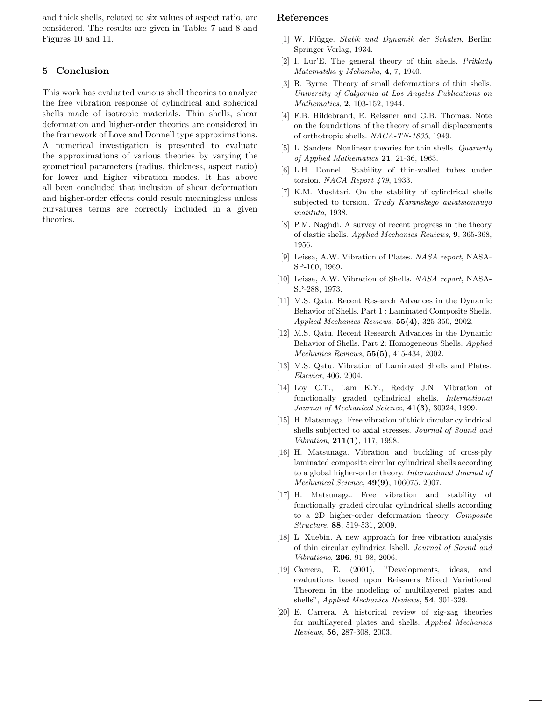and thick shells, related to six values of aspect ratio, are considered. The results are given in Tables 7 and 8 and Figures 10 and 11.

## 5 Conclusion

This work has evaluated various shell theories to analyze the free vibration response of cylindrical and spherical shells made of isotropic materials. Thin shells, shear deformation and higher-order theories are considered in the framework of Love and Donnell type approximations. A numerical investigation is presented to evaluate the approximations of various theories by varying the geometrical parameters (radius, thickness, aspect ratio) for lower and higher vibration modes. It has above all been concluded that inclusion of shear deformation and higher-order effects could result meaningless unless curvatures terms are correctly included in a given theories.

### References

- [1] W. Flügge. Statik und Dynamik der Schalen, Berlin: Springer-Verlag, 1934.
- [2] I. Lur'E. The general theory of thin shells. Priklady Matematika y Mekanika, 4, 7, 1940.
- [3] R. Byrne. Theory of small deformations of thin shells. University of Calgornia at Los Angeles Publications on Mathematics, 2, 103-152, 1944.
- [4] F.B. Hildebrand, E. Reissner and G.B. Thomas. Note on the foundations of the theory of small displacements of orthotropic shells. NACA-TN-1833, 1949.
- [5] L. Sanders. Nonlinear theories for thin shells. Quarterly of Applied Mathematics 21, 21-36, 1963.
- [6] L.H. Donnell. Stability of thin-walled tubes under torsion. NACA Report 479, 1933.
- [7] K.M. Mushtari. On the stability of cylindrical shells subjected to torsion. Trudy Karanskego auiatsionnugo inatituta, 1938.
- [8] P.M. Naghdi. A survey of recent progress in the theory of elastic shells. Applied Mechanics Reuiews, 9, 365-368, 1956.
- [9] Leissa, A.W. Vibration of Plates. NASA report, NASA-SP-160, 1969.
- [10] Leissa, A.W. Vibration of Shells. NASA report, NASA-SP-288, 1973.
- [11] M.S. Qatu. Recent Research Advances in the Dynamic Behavior of Shells. Part 1 : Laminated Composite Shells. Applied Mechanics Reviews, 55(4), 325-350, 2002.
- [12] M.S. Qatu. Recent Research Advances in the Dynamic Behavior of Shells. Part 2: Homogeneous Shells. Applied Mechanics Reviews, 55(5), 415-434, 2002.
- [13] M.S. Qatu. Vibration of Laminated Shells and Plates. Elsevier, 406, 2004.
- [14] Loy C.T., Lam K.Y., Reddy J.N. Vibration of functionally graded cylindrical shells. International Journal of Mechanical Science,  $41(3)$ , 30924, 1999.
- [15] H. Matsunaga. Free vibration of thick circular cylindrical shells subjected to axial stresses. Journal of Sound and Vibration, 211(1), 117, 1998.
- [16] H. Matsunaga. Vibration and buckling of cross-ply laminated composite circular cylindrical shells according to a global higher-order theory. International Journal of Mechanical Science, 49(9), 106075, 2007.
- [17] H. Matsunaga. Free vibration and stability of functionally graded circular cylindrical shells according to a 2D higher-order deformation theory. Composite Structure, 88, 519-531, 2009.
- [18] L. Xuebin. A new approach for free vibration analysis of thin circular cylindrica lshell. Journal of Sound and Vibrations, 296, 91-98, 2006.
- [19] Carrera, E. (2001), "Developments, ideas, and evaluations based upon Reissners Mixed Variational Theorem in the modeling of multilayered plates and shells", Applied Mechanics Reviews, 54, 301-329.
- [20] E. Carrera. A historical review of zig-zag theories for multilayered plates and shells. Applied Mechanics Reviews, 56, 287-308, 2003.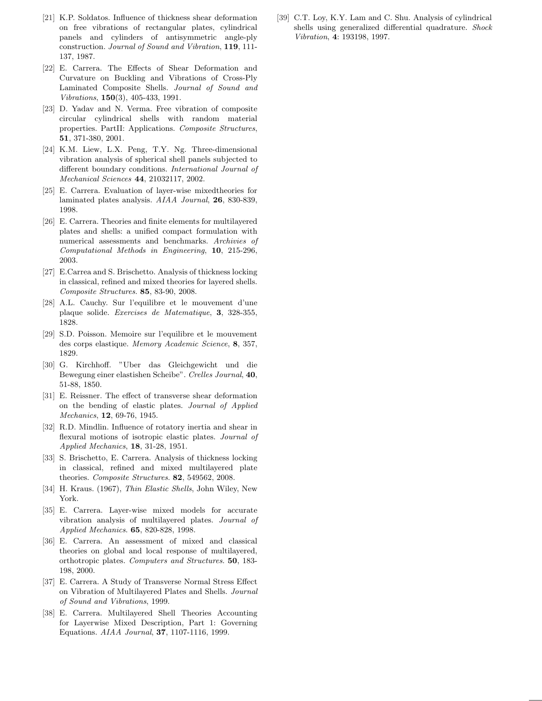- [21] K.P. Soldatos. Influence of thickness shear deformation on free vibrations of rectangular plates, cylindrical panels and cylinders of antisymmetric angle-ply construction. Journal of Sound and Vibration, 119, 111- 137, 1987.
- [22] E. Carrera. The Effects of Shear Deformation and Curvature on Buckling and Vibrations of Cross-Ply Laminated Composite Shells. Journal of Sound and Vibrations, 150(3), 405-433, 1991.
- [23] D. Yadav and N. Verma. Free vibration of composite circular cylindrical shells with random material properties. PartII: Applications. Composite Structures, 51, 371-380, 2001.
- [24] K.M. Liew, L.X. Peng, T.Y. Ng. Three-dimensional vibration analysis of spherical shell panels subjected to different boundary conditions. International Journal of Mechanical Sciences 44, 21032117, 2002.
- [25] E. Carrera. Evaluation of layer-wise mixedtheories for laminated plates analysis. AIAA Journal, 26, 830-839, 1998.
- [26] E. Carrera. Theories and finite elements for multilayered plates and shells: a unified compact formulation with numerical assessments and benchmarks. Archivies of Computational Methods in Engineering, 10, 215-296, 2003.
- [27] E.Carrea and S. Brischetto. Analysis of thickness locking in classical, refined and mixed theories for layered shells. Composite Structures. 85, 83-90, 2008.
- [28] A.L. Cauchy. Sur l'equilibre et le mouvement d'une plaque solide. Exercises de Matematique, 3, 328-355, 1828.
- [29] S.D. Poisson. Memoire sur l'equilibre et le mouvement des corps elastique. Memory Academic Science, 8, 357, 1829.
- [30] G. Kirchhoff. "Uber das Gleichgewicht und die Bewegung einer elastishen Scheibe". Crelles Journal, 40, 51-88, 1850.
- [31] E. Reissner. The effect of transverse shear deformation on the bending of elastic plates. Journal of Applied Mechanics, 12, 69-76, 1945.
- [32] R.D. Mindlin. Influence of rotatory inertia and shear in flexural motions of isotropic elastic plates. Journal of Applied Mechanics, 18, 31-28, 1951.
- [33] S. Brischetto, E. Carrera. Analysis of thickness locking in classical, refined and mixed multilayered plate theories. Composite Structures. 82, 549562, 2008.
- [34] H. Kraus. (1967), Thin Elastic Shells, John Wiley, New York.
- [35] E. Carrera. Layer-wise mixed models for accurate vibration analysis of multilayered plates. Journal of Applied Mechanics. 65, 820-828, 1998.
- [36] E. Carrera. An assessment of mixed and classical theories on global and local response of multilayered, orthotropic plates. Computers and Structures. 50, 183- 198, 2000.
- [37] E. Carrera. A Study of Transverse Normal Stress Effect on Vibration of Multilayered Plates and Shells. Journal of Sound and Vibrations, 1999.
- [38] E. Carrera. Multilayered Shell Theories Accounting for Layerwise Mixed Description, Part 1: Governing Equations. AIAA Journal, 37, 1107-1116, 1999.

[39] C.T. Loy, K.Y. Lam and C. Shu. Analysis of cylindrical shells using generalized differential quadrature. Shock Vibration, 4: 193198, 1997.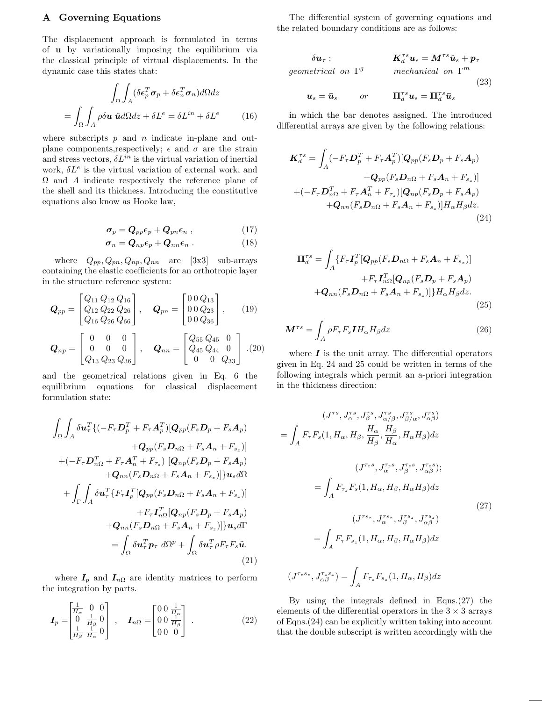#### A Governing Equations

The displacement approach is formulated in terms of u by variationally imposing the equilibrium via the classical principle of virtual displacements. In the dynamic case this states that:

$$
\int_{\Omega} \int_{A} (\delta \epsilon_p^T \sigma_p + \delta \epsilon_n^T \sigma_n) d\Omega dz
$$

$$
= \int_{\Omega} \int_{A} \rho \delta u \ddot{u} d\Omega dz + \delta L^e = \delta L^{in} + \delta L^e \qquad (16)
$$

where subscripts  $p$  and  $n$  indicate in-plane and outplane components, respectively;  $\epsilon$  and  $\sigma$  are the strain and stress vectors,  $\delta L^{in}$  is the virtual variation of inertial work,  $\delta L^e$  is the virtual variation of external work, and  $\Omega$  and  $\Lambda$  indicate respectively the reference plane of the shell and its thickness. Introducing the constitutive equations also know as Hooke law,

$$
\boldsymbol{\sigma}_p = \boldsymbol{Q}_{pp}\boldsymbol{\epsilon}_p + \boldsymbol{Q}_{pn}\boldsymbol{\epsilon}_n \;, \tag{17}
$$

$$
\sigma_n = Q_{np} \epsilon_p + Q_{nn} \epsilon_n \ . \tag{18}
$$

where  $Q_{pp}, Q_{pn}, Q_{np}, Q_{nn}$  are [3x3] sub-arrays containing the elastic coefficients for an orthotropic layer in the structure reference system:

$$
\mathbf{Q}_{pp} = \begin{bmatrix} Q_{11} Q_{12} Q_{16} \\ Q_{12} Q_{22} Q_{26} \\ Q_{16} Q_{26} Q_{66} \end{bmatrix}, \quad \mathbf{Q}_{pn} = \begin{bmatrix} 0 & 0 & Q_{13} \\ 0 & 0 & Q_{23} \\ 0 & 0 & Q_{36} \end{bmatrix}, \quad (19)
$$

$$
\mathbf{Q}_{np} = \begin{bmatrix} 0 & 0 & 0 \\ 0 & 0 & 0 \\ Q_{13} Q_{23} Q_{36} \end{bmatrix}, \quad \mathbf{Q}_{nn} = \begin{bmatrix} Q_{55} Q_{45} & 0 \\ Q_{45} Q_{44} & 0 \\ 0 & 0 & Q_{33} \end{bmatrix} . (20)
$$

and the geometrical relations given in Eq. 6 the equilibrium equations for classical displacement formulation state:

$$
\int_{\Omega} \int_{A} \delta \mathbf{u}_{\tau}^{T} \{ (-F_{\tau} \mathbf{D}_{p}^{T} + F_{\tau} \mathbf{A}_{p}^{T}) [\mathbf{Q}_{pp} (F_{s} \mathbf{D}_{p} + F_{s} \mathbf{A}_{p})
$$

$$
+ \mathbf{Q}_{pp} (F_{s} \mathbf{D}_{n\Omega} + F_{s} \mathbf{A}_{n} + F_{s_{z}})]
$$

$$
+ (-F_{\tau} \mathbf{D}_{n\Omega}^{T} + F_{\tau} \mathbf{A}_{n}^{T} + F_{\tau_{z}}) [\mathbf{Q}_{np} (F_{s} \mathbf{D}_{p} + F_{s} \mathbf{A}_{p})
$$

$$
+ \mathbf{Q}_{nn} (F_{s} \mathbf{D}_{n\Omega} + F_{s} \mathbf{A}_{n} + F_{s_{z}})] \} \mathbf{u}_{s} d\Omega
$$

$$
+ \int_{\Gamma} \int_{A} \delta \mathbf{u}_{\tau}^{T} \{ F_{\tau} \mathbf{I}_{p}^{T} [\mathbf{Q}_{pp} (F_{s} \mathbf{D}_{n\Omega} + F_{s} \mathbf{A}_{n} + F_{s_{z}})]
$$

$$
+ F_{\tau} \mathbf{I}_{n\Omega}^{T} [\mathbf{Q}_{np} (F_{s} \mathbf{D}_{p} + F_{s} \mathbf{A}_{p})
$$

$$
+ \mathbf{Q}_{nn} (F_{s} \mathbf{D}_{n\Omega} + F_{s} \mathbf{A}_{n} + F_{s_{z}})] \} \mathbf{u}_{s} d\Gamma
$$

$$
= \int_{\Omega} \delta \mathbf{u}_{\tau}^{T} \mathbf{p}_{\tau} d\Omega^{p} + \int_{\Omega} \delta \mathbf{u}_{\tau}^{T} \rho F_{\tau} F_{s} \ddot{\mathbf{u}}.
$$
(21)

where  $I_p$  and  $I_{n\Omega}$  are identity matrices to perform the integration by parts.

$$
\boldsymbol{I}_{p} = \begin{bmatrix} \frac{1}{H_{\alpha}} & 0 & 0\\ 0 & \frac{1}{H_{\beta}} & 0\\ \frac{1}{H_{\beta}} & \frac{1}{H_{\alpha}} & 0 \end{bmatrix} , \quad \boldsymbol{I}_{n\Omega} = \begin{bmatrix} 0 & 0 & \frac{1}{H_{\alpha}}\\ 0 & 0 & \frac{1}{H_{\beta}}\\ 0 & 0 & 0 \end{bmatrix} .
$$
 (22)

The differential system of governing equations and the related boundary conditions are as follows:

$$
\delta \mathbf{u}_{\tau}: \qquad \qquad \mathbf{K}_{d}^{\tau s} \mathbf{u}_{s} = \mathbf{M}^{\tau s} \ddot{\mathbf{u}}_{s} + \mathbf{p}_{\tau}
$$
\ngeometrical on  $\Gamma^{g}$  mechanical on  $\Gamma^{m}$   
\n
$$
\mathbf{u}_{s} = \bar{\mathbf{u}}_{s} \qquad \text{or} \qquad \mathbf{\Pi}_{d}^{\tau s} \mathbf{u}_{s} = \mathbf{\Pi}_{d}^{\tau s} \bar{\mathbf{u}}_{s}
$$
\n
$$
(23)
$$

in which the bar denotes assigned. The introduced differential arrays are given by the following relations:

$$
\boldsymbol{K}_{d}^{\tau s} = \int_{A} (-F_{\tau} \boldsymbol{D}_{p}^{T} + F_{\tau} \boldsymbol{A}_{p}^{T}) [\boldsymbol{Q}_{pp} (F_{s} \boldsymbol{D}_{p} + F_{s} \boldsymbol{A}_{p}) \n+ \boldsymbol{Q}_{pp} (F_{s} \boldsymbol{D}_{n\Omega} + F_{s} \boldsymbol{A}_{n} + F_{s_{z}})] \n+ (-F_{\tau} \boldsymbol{D}_{n\Omega}^{T} + F_{\tau} \boldsymbol{A}_{n}^{T} + F_{\tau_{z}}) [\boldsymbol{Q}_{np} (F_{s} \boldsymbol{D}_{p} + F_{s} \boldsymbol{A}_{p}) \n+ \boldsymbol{Q}_{nn} (F_{s} \boldsymbol{D}_{n\Omega} + F_{s} \boldsymbol{A}_{n} + F_{s_{z}})] H_{\alpha} H_{\beta} dz.
$$
\n(24)

$$
\Pi_d^{\tau s} = \int_A \{ F_{\tau} \mathbf{I}_p^T [\mathbf{Q}_{pp} (F_s \mathbf{D}_{n\Omega} + F_s \mathbf{A}_n + F_{s_z}) ] + F_{\tau} \mathbf{I}_{n\Omega}^T [\mathbf{Q}_{np} (F_s \mathbf{D}_p + F_s \mathbf{A}_p) + \mathbf{Q}_{nn} (F_s \mathbf{D}_{n\Omega} + F_s \mathbf{A}_n + F_{s_z}) ] \} H_{\alpha} H_{\beta} dz.
$$
\n(25)

$$
\mathbf{M}^{\tau s} = \int_{A} \rho F_{\tau} F_{s} \mathbf{I} H_{\alpha} H_{\beta} dz \tag{26}
$$

where  $I$  is the unit array. The differential operators given in Eq. 24 and 25 could be written in terms of the following integrals which permit an a-priori integration in the thickness direction:

$$
(J^{\tau s}, J^{\tau s}_{\alpha}, J^{\tau s}_{\beta}, J^{\tau s}_{\alpha/\beta}, J^{\tau s}_{\beta/\alpha}, J^{\tau s}_{\alpha\beta})
$$
  
\n
$$
= \int_{A} F_{\tau} F_{s}(1, H_{\alpha}, H_{\beta}, \frac{H_{\alpha}}{H_{\beta}}, \frac{H_{\beta}}{H_{\alpha}}, H_{\alpha} H_{\beta}) dz
$$
  
\n
$$
(J^{\tau_{z}s}, J^{\tau_{z}s}_{\alpha}, J^{\tau_{z}s}_{\beta}, J^{\tau_{z}s}_{\alpha\beta});
$$
  
\n
$$
= \int_{A} F_{\tau_{z}} F_{s}(1, H_{\alpha}, H_{\beta}, H_{\alpha} H_{\beta}) dz
$$
  
\n
$$
(27)
$$
  
\n
$$
(J^{\tau s_{z}}, J^{\tau s_{z}}_{\alpha}, J^{\tau s_{z}}_{\beta}, J^{\tau s_{z}}_{\alpha\beta})
$$
  
\n
$$
= \int_{A} F_{\tau} F_{s_{z}}(1, H_{\alpha}, H_{\beta}, H_{\alpha} H_{\beta}) dz
$$

$$
(J^{\tau_z s_z}, J^{\tau_z s_z}_{\alpha\beta}) = \int_A F_{\tau_z} F_{s_z}(1, H_\alpha, H_\beta) dz
$$

By using the integrals defined in Eqns.(27) the elements of the differential operators in the  $3 \times 3$  arrays of Eqns.(24) can be explicitly written taking into account that the double subscript is written accordingly with the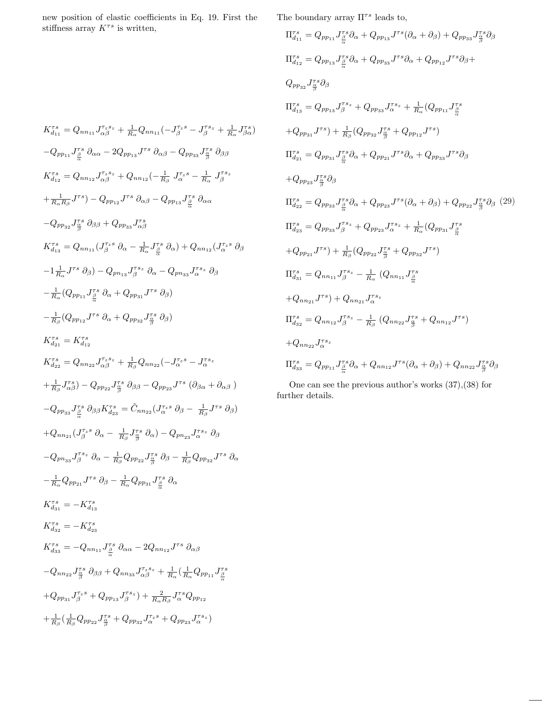new position of elastic coefficients in Eq. 19. First the stiffness array $K^{\tau s}$  is written,

$$
K_{d_{11}}^{\tau,s} = Q_{nn_{11}} J_{\alpha\beta}^{\tau,s_{z}} + \frac{1}{R_{\alpha}} Q_{nn_{11}} (-J_{\beta}^{\tau,s_{z}} - J_{\beta}^{\tau,s_{z}} + \frac{1}{R_{\alpha}} J_{\beta\alpha}^{\tau,s})
$$
  
\n
$$
-Q_{pp_{11}} J_{\frac{\beta}{\alpha}}^{\tau,s} \partial_{\alpha\alpha} - 2Q_{pp_{13}} J^{\tau,s} \partial_{\alpha\beta} - Q_{pp_{33}} J_{\frac{\beta}{\beta}}^{\tau,s} \partial_{\beta\beta}
$$
  
\n
$$
K_{d_{12}}^{\tau,s} = Q_{nn_{12}} J_{\alpha\beta}^{\tau,s_{z}} + Q_{nn_{12}} (-\frac{1}{R_{\beta}} J_{\alpha}^{\tau,s} - \frac{1}{R_{\alpha}} J_{\beta}^{\tau,s_{z}}
$$
  
\n
$$
+ \frac{1}{R_{\alpha}R_{\beta}} J^{\tau,s_{z}} - Q_{pp_{12}} J^{\tau,s} \partial_{\alpha\beta} - Q_{pp_{13}} J_{\frac{\beta}{\alpha}}^{\tau,s} \partial_{\alpha\alpha}
$$
  
\n
$$
-Q_{pp_{32}} J_{\frac{\beta}{\beta}}^{\tau,s} \partial_{\beta\beta} + Q_{pp_{33}} J_{\alpha\beta}^{\tau,s}
$$
  
\n
$$
K_{d_{13}}^{\tau,s} = Q_{nn_{11}} (J_{\beta}^{\tau,s} \partial_{\alpha} - \frac{1}{R_{\alpha}} J_{\frac{\beta}{\alpha}}^{\tau,s} \partial_{\alpha}) + Q_{nn_{12}} (J_{\alpha}^{\tau,s} \partial_{\beta}
$$
  
\n
$$
-1 \frac{1}{R_{\alpha}} J^{\tau,s} \partial_{\beta}) - Q_{pn_{13}} J_{\beta}^{\tau,s_{z}} \partial_{\alpha} - Q_{pn_{33}} J_{\alpha}^{\tau,s_{z}} \partial_{\beta}
$$
  
\n
$$
- \frac{1}{R_{\alpha}} (Q_{pp_{11}} J_{\frac{\beta}{\alpha}}^{\tau,s} \partial_{\alpha} + Q_{pp_{31}} J^{\tau,s} \partial_{\beta})
$$
  
\n
$$
- \frac{1}{R_{\alpha}} (Q_{pp_{12}} J^{\tau,s} \partial_{\alpha} + Q_{pp_{32
$$

The boundary array  $\Pi^{\tau s}$  leads to,

$$
\Pi_{d_{11}}^{rs} = Q_{pp_{11}} J_{\frac{\beta}{\alpha}}^{rs} \partial_{\alpha} + Q_{pp_{13}} J^{rs} (\partial_{\alpha} + \partial_{\beta}) + Q_{pp_{33}} J_{\frac{\beta}{\beta}}^{rs} \partial_{\beta}
$$
\n
$$
\Pi_{d_{12}}^{rs} = Q_{pp_{13}} J_{\frac{\beta}{\beta}}^{rs} \partial_{\alpha} + Q_{pp_{33}} J^{rs} \partial_{\alpha} + Q_{pp_{12}} J^{rs} \partial_{\beta} +
$$
\n
$$
Q_{pp_{32}} J_{\frac{\beta}{\beta}}^{rs} \partial_{\beta}
$$
\n
$$
\Pi_{d_{13}}^{rs} = Q_{pp_{13}} J_{\beta}^{rs} + Q_{pp_{33}} J_{\alpha}^{rs} + \frac{1}{R_{\alpha}} (Q_{pp_{11}} J_{\frac{\beta}{\alpha}}^{rs}
$$
\n
$$
+ Q_{pp_{31}} J^{rs}) + \frac{1}{R_{\beta}} (Q_{pp_{32}} J_{\frac{\beta}{\beta}}^{rs} + Q_{pp_{12}} J^{rs})
$$
\n
$$
\Pi_{d_{21}}^{rs} = Q_{pp_{31}} J_{\frac{\beta}{\alpha}}^{rs} \partial_{\alpha} + Q_{pp_{21}} J^{rs} \partial_{\alpha} + Q_{pp_{33}} J^{rs} \partial_{\beta}
$$
\n
$$
+ Q_{pp_{23}} J_{\frac{\beta}{\beta}}^{rs} \partial_{\beta}
$$
\n
$$
\Pi_{d_{22}}^{rs} = Q_{pp_{33}} J_{\frac{\beta}{\alpha}}^{rs} \partial_{\alpha} + Q_{pp_{23}} J^{rs} (\partial_{\alpha} + \partial_{\beta}) + Q_{pp_{22}} J_{\frac{\beta}{\beta}}^{rs} \partial_{\beta}
$$
\n
$$
\Pi_{d_{23}}^{rs} = Q_{pp_{33}} J_{\frac{\beta}{\alpha}}^{rs} + Q_{pp_{23}} J_{\alpha}^{rs} + \frac{1}{R_{\alpha}} (Q_{pp_{31}} J_{\frac{\beta}{\alpha}}^{rs}
$$
\n
$$
+ Q_{pp_{21}} J^{rs}) + \frac{1}{R_{\beta}} (Q_{pp_{22}} J_{\frac{\beta}{\beta}}^{rs} + Q_{pp_{32}} J^{rs})
$$
\n
$$
\Pi_{d_{31}}^{rs} = Q_{nn_{11}} J_{\beta}
$$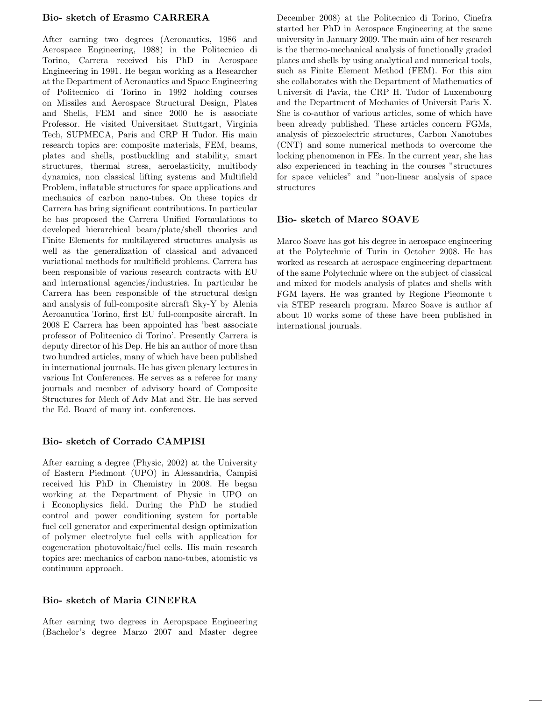### Bio- sketch of Erasmo CARRERA

After earning two degrees (Aeronautics, 1986 and Aerospace Engineering, 1988) in the Politecnico di Torino, Carrera received his PhD in Aerospace Engineering in 1991. He began working as a Researcher at the Department of Aeronautics and Space Engineering of Politecnico di Torino in 1992 holding courses on Missiles and Aerospace Structural Design, Plates and Shells, FEM and since 2000 he is associate Professor. He visited Universitaet Stuttgart, Virginia Tech, SUPMECA, Paris and CRP H Tudor. His main research topics are: composite materials, FEM, beams, plates and shells, postbuckling and stability, smart structures, thermal stress, aeroelasticity, multibody dynamics, non classical lifting systems and Multifield Problem, inflatable structures for space applications and mechanics of carbon nano-tubes. On these topics dr Carrera has bring significant contributions. In particular he has proposed the Carrera Unified Formulations to developed hierarchical beam/plate/shell theories and Finite Elements for multilayered structures analysis as well as the generalization of classical and advanced variational methods for multifield problems. Carrera has been responsible of various research contracts with EU and international agencies/industries. In particular he Carrera has been responsible of the structural design and analysis of full-composite aircraft Sky-Y by Alenia Aeroanutica Torino, first EU full-composite aircraft. In 2008 E Carrera has been appointed has 'best associate professor of Politecnico di Torino'. Presently Carrera is deputy director of his Dep. He his an author of more than two hundred articles, many of which have been published in international journals. He has given plenary lectures in various Int Conferences. He serves as a referee for many journals and member of advisory board of Composite Structures for Mech of Adv Mat and Str. He has served the Ed. Board of many int. conferences.

## Bio- sketch of Corrado CAMPISI

After earning a degree (Physic, 2002) at the University of Eastern Piedmont (UPO) in Alessandria, Campisi received his PhD in Chemistry in 2008. He began working at the Department of Physic in UPO on i Econophysics field. During the PhD he studied control and power conditioning system for portable fuel cell generator and experimental design optimization of polymer electrolyte fuel cells with application for cogeneration photovoltaic/fuel cells. His main research topics are: mechanics of carbon nano-tubes, atomistic vs continuum approach.

## Bio- sketch of Maria CINEFRA

After earning two degrees in Aeropspace Engineering (Bachelor's degree Marzo 2007 and Master degree December 2008) at the Politecnico di Torino, Cinefra started her PhD in Aerospace Engineering at the same university in January 2009. The main aim of her research is the thermo-mechanical analysis of functionally graded plates and shells by using analytical and numerical tools, such as Finite Element Method (FEM). For this aim she collaborates with the Department of Mathematics of Universit di Pavia, the CRP H. Tudor of Luxembourg and the Department of Mechanics of Universit Paris X. She is co-author of various articles, some of which have been already published. These articles concern FGMs, analysis of piezoelectric structures, Carbon Nanotubes (CNT) and some numerical methods to overcome the locking phenomenon in FEs. In the current year, she has also experienced in teaching in the courses "structures for space vehicles" and "non-linear analysis of space structures

## Bio- sketch of Marco SOAVE

Marco Soave has got his degree in aerospace engineering at the Polytechnic of Turin in October 2008. He has worked as research at aerospace engineering department of the same Polytechnic where on the subject of classical and mixed for models analysis of plates and shells with FGM layers. He was granted by Regione Pieomonte t via STEP research program. Marco Soave is author af about 10 works some of these have been published in international journals.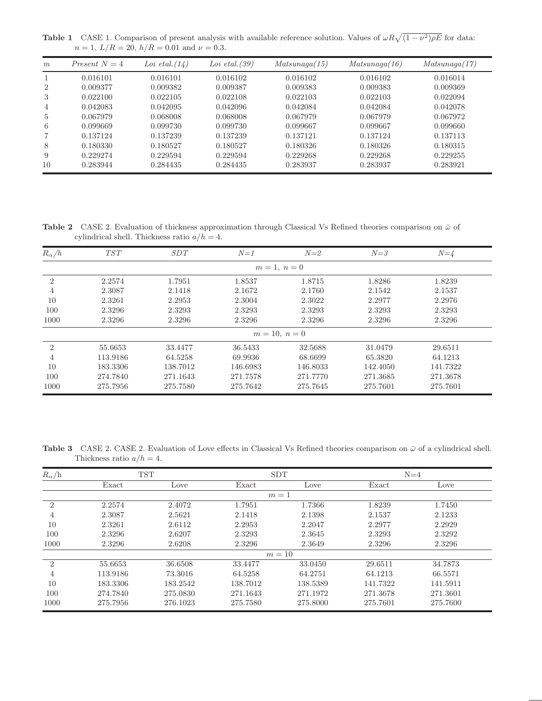**Table 1** CASE 1. Comparison of present analysis with available reference solution. Values of  $\omega R \sqrt{(1-\nu^2)\rho E}$  for data:  $n = 1, L/R = 20, h/R = 0.01$  and  $\nu = 0.3$ .

| m              | Present $N=4$ | Loi etal. $(14)$ | Loi etal. $(39)$ | $Matsunaq\alpha(15)$ | Matsunaqa(16) | Matsunaga(17) |  |
|----------------|---------------|------------------|------------------|----------------------|---------------|---------------|--|
|                | 0.016101      | 0.016101         | 0.016102         | 0.016102             | 0.016102      | 0.016014      |  |
| $\overline{2}$ | 0.009377      | 0.009382         | 0.009387         | 0.009383             | 0.009383      | 0.009369      |  |
| 3              | 0.022100      | 0.022105         | 0.022108         | 0.022103             | 0.022103      | 0.022094      |  |
| $\overline{4}$ | 0.042083      | 0.042095         | 0.042096         | 0.042084             | 0.042084      | 0.042078      |  |
| 5              | 0.067979      | 0.068008         | 0.068008         | 0.067979             | 0.067979      | 0.067972      |  |
| 6              | 0.099669      | 0.099730         | 0.099730         | 0.099667             | 0.099667      | 0.099660      |  |
| 7              | 0.137124      | 0.137239         | 0.137239         | 0.137121             | 0.137124      | 0.137113      |  |
| 8              | 0.180330      | 0.180527         | 0.180527         | 0.180326             | 0.180326      | 0.180315      |  |
| 9              | 0.229274      | 0.229594         | 0.229594         | 0.229268             | 0.229268      | 0.229255      |  |
| 10             | 0.283944      | 0.284435         | 0.284435         | 0.283937             | 0.283937      | 0.283921      |  |

Table 2 CASE 2. Evaluation of thickness approximation through Classical Vs Refined theories comparison on  $\bar{\omega}$  of cylindrical shell. Thickness ratio  $a/h = 4$ .

| $R_\alpha/h$   | TST      | SDT      | $N=1$    | $N=2$           | $N = 3$  | $N = 4$  |
|----------------|----------|----------|----------|-----------------|----------|----------|
|                |          |          |          | $m = 1, n = 0$  |          |          |
| $\overline{2}$ | 2.2574   | 1.7951   | 1.8537   | 1.8715          | 1.8286   | 1.8239   |
| $\overline{4}$ | 2.3087   | 2.1418   | 2.1672   | 2.1760          | 2.1542   | 2.1537   |
| 10             | 2.3261   | 2.2953   | 2.3004   | 2.3022          | 2.2977   | 2.2976   |
| 100            | 2.3296   | 2.3293   | 2.3293   | 2.3293          | 2.3293   | 2.3293   |
| 1000           | 2.3296   | 2.3296   | 2.3296   | 2.3296          | 2.3296   | 2.3296   |
|                |          |          |          | $m = 10, n = 0$ |          |          |
| $\mathfrak{D}$ | 55.6653  | 33.4477  | 36.5433  | 32.5688         | 31.0479  | 29.6511  |
| 4              | 113.9186 | 64.5258  | 69.9936  | 68.6699         | 65.3820  | 64.1213  |
| 10             | 183.3306 | 138.7012 | 146.6983 | 146.8033        | 142.4050 | 141.7322 |
| 100            | 274.7840 | 271.1643 | 271.7578 | 271.7770        | 271.3685 | 271.3678 |
| 1000           | 275.7956 | 275.7580 | 275.7642 | 275.7645        | 275.7601 | 275.7601 |

Table 3 CASE 2. CASE 2. Evaluation of Love effects in Classical Vs Refined theories comparison on  $\bar{\omega}$  of a cylindrical shell. Thickness ratio  $a/h = 4$ .

| $R_\alpha/h$                | <b>TST</b> |          | <b>SDT</b> |          | $N=4$    |          |
|-----------------------------|------------|----------|------------|----------|----------|----------|
|                             | Exact      | Love     | Exact      | Love     | Exact    | Love     |
|                             |            |          | $m=1$      |          |          |          |
| $\overline{2}$              | 2.2574     | 2.4072   | 1.7951     | 1.7366   | 1.8239   | 1.7450   |
| 4                           | 2.3087     | 2.5621   | 2.1418     | 2.1398   | 2.1537   | 2.1233   |
| 10                          | 2.3261     | 2.6112   | 2.2953     | 2.2047   | 2.2977   | 2.2929   |
| 100                         | 2.3296     | 2.6207   | 2.3293     | 2.3645   | 2.3293   | 2.3292   |
| 1000                        | 2.3296     | 2.6208   | 2.3296     | 2.3649   | 2.3296   | 2.3296   |
|                             |            |          | $m=10$     |          |          |          |
| $\mathcal{D}_{\mathcal{A}}$ | 55.6653    | 36.6508  | 33.4477    | 33.0450  | 29.6511  | 34.7873  |
| 4                           | 113.9186   | 73.3016  | 64.5258    | 64.2751  | 64.1213  | 66.5571  |
| 10                          | 183.3306   | 183.2542 | 138.7012   | 138.5389 | 141.7322 | 141.5911 |
| 100                         | 274.7840   | 275.0830 | 271.1643   | 271.1972 | 271.3678 | 271.3601 |
| 1000                        | 275.7956   | 276.1023 | 275.7580   | 275.8000 | 275.7601 | 275.7600 |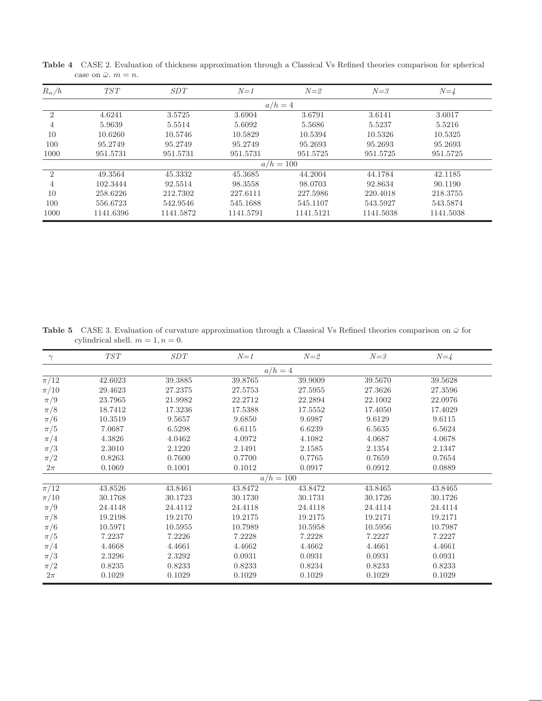| $R_{\alpha}/h$ | <b>TST</b> | SDT       | $N=1$     | $N=2$       | $N = 3$   | $N = 4$   |
|----------------|------------|-----------|-----------|-------------|-----------|-----------|
|                |            |           |           | $a/h=4$     |           |           |
| $\overline{2}$ | 4.6241     | 3.5725    | 3.6904    | 3.6791      | 3.6141    | 3.6017    |
| 4              | 5.9639     | 5.5514    | 5.6092    | 5.5686      | 5.5237    | 5.5216    |
| 10             | 10.6260    | 10.5746   | 10.5829   | 10.5394     | 10.5326   | 10.5325   |
| 100            | 95.2749    | 95.2749   | 95.2749   | 95.2693     | 95.2693   | 95.2693   |
| 1000           | 951.5731   | 951.5731  | 951.5731  | 951.5725    | 951.5725  | 951.5725  |
|                |            |           |           | $a/h = 100$ |           |           |
| $\overline{2}$ | 49.3564    | 45.3332   | 45.3685   | 44.2004     | 44.1784   | 42.1185   |
| 4              | 102.3444   | 92.5514   | 98.3558   | 98.0703     | 92.8634   | 90.1190   |
| 10             | 258.6226   | 212.7302  | 227.6111  | 227.5986    | 220.4018  | 218.3755  |
| 100            | 556.6723   | 542.9546  | 545.1688  | 545,1107    | 543.5927  | 543.5874  |
| 1000           | 1141.6396  | 1141.5872 | 1141.5791 | 1141.5121   | 1141.5038 | 1141.5038 |

Table 4 CASE 2. Evaluation of thickness approximation through a Classical Vs Refined theories comparison for spherical case on  $\bar{\omega}$ .  $m = n$ .

Table 5 CASE 3. Evaluation of curvature approximation through a Classical Vs Refined theories comparison on  $\bar{\omega}$  for cylindrical shell.  $m = 1, n = 0$ .

| $\gamma$            | TST     | SDT     | $N=1$       | $N = 2$ | $N = 3$ | $N = 4$ |  |
|---------------------|---------|---------|-------------|---------|---------|---------|--|
|                     |         |         |             | $a/h=4$ |         |         |  |
| $\overline{\pi/12}$ | 42.6023 | 39.3885 | 39.8765     | 39.9009 | 39.5670 | 39.5628 |  |
| $\pi/10$            | 29.4623 | 27.2375 | 27.5753     | 27.5955 | 27.3626 | 27.3596 |  |
| $\pi/9$             | 23.7965 | 21.9982 | 22.2712     | 22.2894 | 22.1002 | 22.0976 |  |
| $\pi/8$             | 18.7412 | 17.3236 | 17.5388     | 17.5552 | 17.4050 | 17.4029 |  |
| $\pi/6$             | 10.3519 | 9.5657  | 9.6850      | 9.6987  | 9.6129  | 9.6115  |  |
| $\pi/5$             | 7.0687  | 6.5298  | 6.6115      | 6.6239  | 6.5635  | 6.5624  |  |
| $\pi/4$             | 4.3826  | 4.0462  | 4.0972      | 4.1082  | 4.0687  | 4.0678  |  |
| $\pi/3$             | 2.3010  | 2.1220  | 2.1491      | 2.1585  | 2.1354  | 2.1347  |  |
| $\pi/2$             | 0.8263  | 0.7600  | 0.7700      | 0.7765  | 0.7659  | 0.7654  |  |
| $2\pi$              | 0.1069  | 0.1001  | 0.1012      | 0.0917  | 0.0912  | 0.0889  |  |
|                     |         |         | $a/h = 100$ |         |         |         |  |
| $\overline{\pi/12}$ | 43.8526 | 43.8461 | 43.8472     | 43.8472 | 43.8465 | 43.8465 |  |
| $\pi/10$            | 30.1768 | 30.1723 | 30.1730     | 30.1731 | 30.1726 | 30.1726 |  |
| $\pi/9$             | 24.4148 | 24.4112 | 24.4118     | 24.4118 | 24.4114 | 24.4114 |  |
| $\pi/8$             | 19.2198 | 19.2170 | 19.2175     | 19.2175 | 19.2171 | 19.2171 |  |
| $\pi/6$             | 10.5971 | 10.5955 | 10.7989     | 10.5958 | 10.5956 | 10.7987 |  |
| $\pi/5$             | 7.2237  | 7.2226  | 7.2228      | 7.2228  | 7.2227  | 7.2227  |  |
| $\pi/4$             | 4.4668  | 4.4661  | 4.4662      | 4.4662  | 4.4661  | 4.4661  |  |
| $\pi/3$             | 2.3296  | 2.3292  | 0.0931      | 0.0931  | 0.0931  | 0.0931  |  |
| $\pi/2$             | 0.8235  | 0.8233  | 0.8233      | 0.8234  | 0.8233  | 0.8233  |  |
| $2\pi$              | 0.1029  | 0.1029  | 0.1029      | 0.1029  | 0.1029  | 0.1029  |  |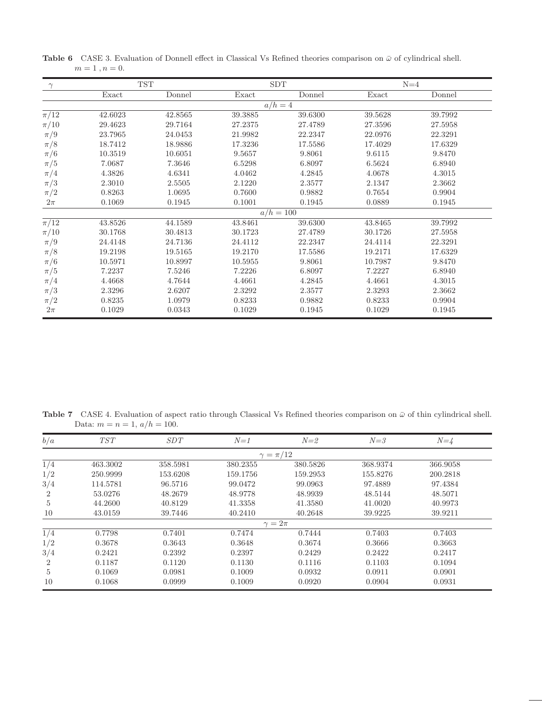|         |         |            | <b>SDT</b> |                        | $N=4$   |
|---------|---------|------------|------------|------------------------|---------|
| Exact   | Donnel  | Exact      | Donnel     | Exact                  | Donnel  |
|         |         |            |            |                        |         |
| 42.6023 | 42.8565 | 39.3885    | 39.6300    | 39.5628                | 39.7992 |
| 29.4623 | 29.7164 | 27.2375    | 27.4789    | 27.3596                | 27.5958 |
| 23.7965 | 24.0453 | 21.9982    | 22.2347    | 22.0976                | 22.3291 |
| 18.7412 | 18.9886 | 17.3236    | 17.5586    | 17.4029                | 17.6329 |
| 10.3519 | 10.6051 | 9.5657     | 9.8061     | 9.6115                 | 9.8470  |
| 7.0687  | 7.3646  | 6.5298     | 6.8097     | 6.5624                 | 6.8940  |
| 4.3826  | 4.6341  | 4.0462     | 4.2845     | 4.0678                 | 4.3015  |
| 2.3010  | 2.5505  | 2.1220     | 2.3577     | 2.1347                 | 2.3662  |
| 0.8263  | 1.0695  | 0.7600     | 0.9882     | 0.7654                 | 0.9904  |
| 0.1069  | 0.1945  | 0.1001     | 0.1945     | 0.0889                 | 0.1945  |
|         |         |            |            |                        |         |
| 43.8526 | 44.1589 | 43.8461    | 39.6300    | 43.8465                | 39.7992 |
| 30.1768 | 30.4813 | 30.1723    | 27.4789    | 30.1726                | 27.5958 |
| 24.4148 | 24.7136 | 24.4112    | 22.2347    | 24.4114                | 22.3291 |
| 19.2198 | 19.5165 | 19.2170    | 17.5586    | 19.2171                | 17.6329 |
| 10.5971 | 10.8997 | 10.5955    | 9.8061     | 10.7987                | 9.8470  |
| 7.2237  | 7.5246  | 7.2226     | 6.8097     | 7.2227                 | 6.8940  |
| 4.4668  | 4.7644  | 4.4661     | 4.2845     | 4.4661                 | 4.3015  |
| 2.3296  | 2.6207  | 2.3292     | 2.3577     | 2.3293                 | 2.3662  |
| 0.8235  | 1.0979  | 0.8233     | 0.9882     | 0.8233                 | 0.9904  |
| 0.1029  | 0.0343  | 0.1029     | 0.1945     | 0.1029                 | 0.1945  |
|         |         | <b>TST</b> |            | $a/h=4$<br>$a/h = 100$ |         |

Table 6 CASE 3. Evaluation of Donnell effect in Classical Vs Refined theories comparison on  $\bar{\omega}$  of cylindrical shell.  $m=1\;,n=0.$ 

Table 7 CASE 4. Evaluation of aspect ratio through Classical Vs Refined theories comparison on  $\bar{\omega}$  of thin cylindrical shell. Data:  $m = n = 1, a/h = 100$ .

| b/a            | <b>TST</b> | SDT      | $N=1$         | $N=2$     | $N = 3$  | $N = 4$  |
|----------------|------------|----------|---------------|-----------|----------|----------|
|                |            |          |               | $=\pi/12$ |          |          |
| 1/4            | 463.3002   | 358.5981 | 380.2355      | 380.5826  | 368.9374 | 366.9058 |
| 1/2            | 250.9999   | 153.6208 | 159.1756      | 159.2953  | 155.8276 | 200.2818 |
| 3/4            | 114.5781   | 96.5716  | 99.0472       | 99.0963   | 97.4889  | 97.4384  |
| $\overline{2}$ | 53.0276    | 48.2679  | 48.9778       | 48.9939   | 48.5144  | 48.5071  |
| 5              | 44.2600    | 40.8129  | 41.3358       | 41.3580   | 41.0020  | 40.9973  |
| 10             | 43.0159    | 39.7446  | 40.2410       | 40.2648   | 39.9225  | 39.9211  |
|                |            |          | $\gamma=2\pi$ |           |          |          |
| 1/4            | 0.7798     | 0.7401   | 0.7474        | 0.7444    | 0.7403   | 0.7403   |
| 1/2            | 0.3678     | 0.3643   | 0.3648        | 0.3674    | 0.3666   | 0.3663   |
| 3/4            | 0.2421     | 0.2392   | 0.2397        | 0.2429    | 0.2422   | 0.2417   |
| $\overline{2}$ | 0.1187     | 0.1120   | 0.1130        | 0.1116    | 0.1103   | 0.1094   |
| 5              | 0.1069     | 0.0981   | 0.1009        | 0.0932    | 0.0911   | 0.0901   |
| 10             | 0.1068     | 0.0999   | 0.1009        | 0.0920    | 0.0904   | 0.0931   |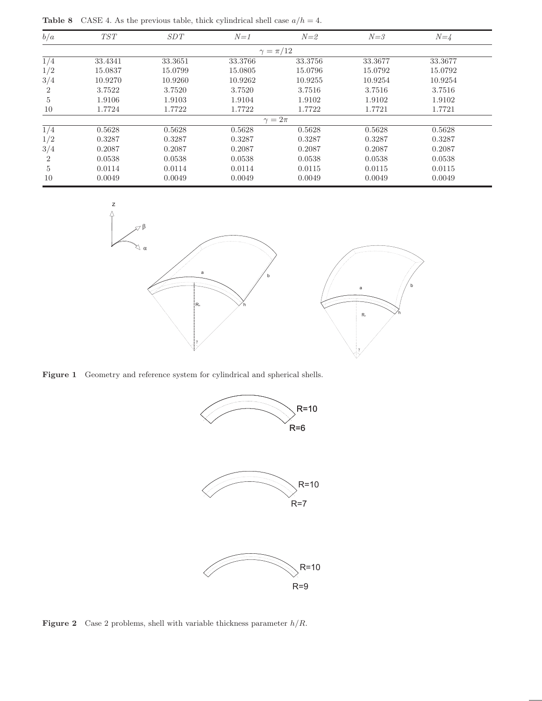**Table 8** CASE 4. As the previous table, thick cylindrical shell case  $a/h = 4$ .

| b/a            | TST     | SDT     | $N=1$         | $N=2$             | $N = 3$ | $N = 4$ |  |
|----------------|---------|---------|---------------|-------------------|---------|---------|--|
|                |         |         |               | $\gamma = \pi/12$ |         |         |  |
| 1/4            | 33.4341 | 33.3651 | 33.3766       | 33.3756           | 33.3677 | 33.3677 |  |
| 1/2            | 15.0837 | 15.0799 | 15.0805       | 15.0796           | 15.0792 | 15.0792 |  |
| 3/4            | 10.9270 | 10.9260 | 10.9262       | 10.9255           | 10.9254 | 10.9254 |  |
| $\overline{2}$ | 3.7522  | 3.7520  | 3.7520        | 3.7516            | 3.7516  | 3.7516  |  |
| 5              | 1.9106  | 1.9103  | 1.9104        | 1.9102            | 1.9102  | 1.9102  |  |
| 10             | 1.7724  | 1.7722  | 1.7722        | 1.7722            | 1.7721  | 1.7721  |  |
|                |         |         | $\gamma=2\pi$ |                   |         |         |  |
| 1/4            | 0.5628  | 0.5628  | 0.5628        | 0.5628            | 0.5628  | 0.5628  |  |
| 1/2            | 0.3287  | 0.3287  | 0.3287        | 0.3287            | 0.3287  | 0.3287  |  |
| 3/4            | 0.2087  | 0.2087  | 0.2087        | 0.2087            | 0.2087  | 0.2087  |  |
| $\overline{2}$ | 0.0538  | 0.0538  | 0.0538        | 0.0538            | 0.0538  | 0.0538  |  |
| $\overline{5}$ | 0.0114  | 0.0114  | 0.0114        | 0.0115            | 0.0115  | 0.0115  |  |
| 10             | 0.0049  | 0.0049  | 0.0049        | 0.0049            | 0.0049  | 0.0049  |  |



Figure 1 Geometry and reference system for cylindrical and spherical shells.



**Figure 2** Case 2 problems, shell with variable thickness parameter  $h/R$ .